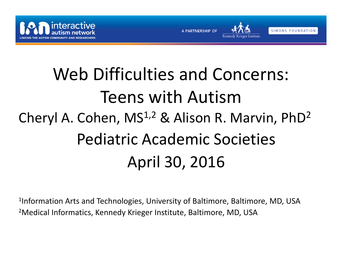





# Web Difficulties and Concerns: Teens with AutismCheryl A. Cohen, MS<sup>1,2</sup> & Alison R. Marvin, PhD<sup>2</sup> Pediatric Academic Societies April 30, 2016

 $^{\rm 1}$ Information Arts and Technologies, University of Baltimore, Baltimore, MD, USA <sup>2</sup>Medical Informatics, Kennedy Krieger Institute, Baltimore, MD, USA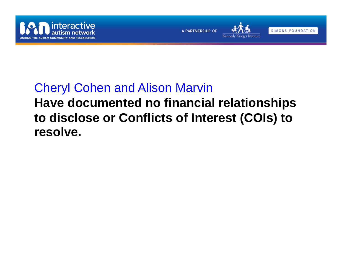





SIMONS FOUNDATION

#### Cheryl Cohen and Alison Marvin

#### **Have documented no financial relationships to disclose or Conflicts of Interest (COIs) to resolve.**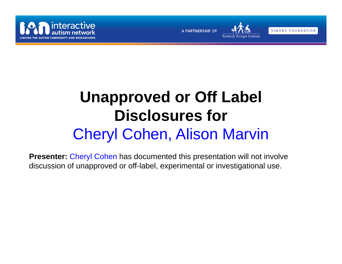



SIMONS FOUNDATION

## **Unapproved or Off Label Disclosures for**  Cheryl Cohen, Alison Marvin

**Presenter:** Cheryl Cohen has documented this presentation will not involve discussion of unapproved or off-label, experimental or investigational use.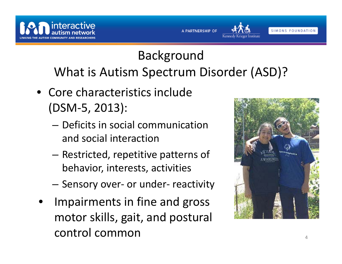

### Background What is Autism Spectrum Disorder (ASD)?

**A PARTNERSHIP OF** 

- Core characteristics include (DSM‐5, 2013):
	- Deficits in social communication and social interaction
	- – $-$  Restricted, repetitive patterns of behavior, interests, activities
	- –— Sensory over- or under- reactivity
- • Impairments in fine and gross motor skills, gait, and postural control common $\overline{4}$



SIMONS FOUNDATION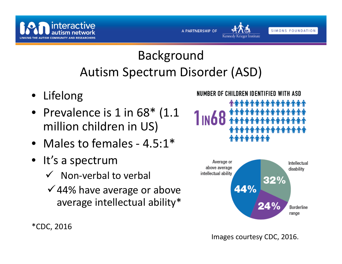

### Background Autism Spectrum Disorder (ASD)

A PARTNERSHIP OF

- Lifelong
- Prevalence is 1 in 68\* (1.1 million children in US)
- Males to females 4.5:1\*
- It's a spectrum
	- $\checkmark$  Non-verbal to verbal
	- $\checkmark$  44% have average or above average intellectual ability\*

#### NUMBER OF CHILDREN IDENTIFIED WITH ASD

Kennedy Krieger Institute

SIMONS FOUNDATION





Images courtesy CDC, 2016.

\*CDC, 2016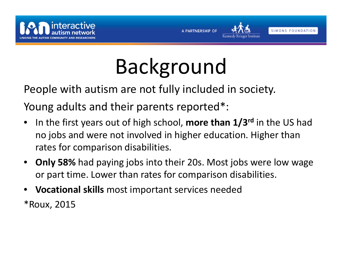





# Background

People with autism are not fully included in society.

Young adults and their parents reported\*:

- $\bullet$ **•** In the first years out of high school, more than 1/3<sup>rd</sup> in the US had no jobs and were not involved in higher education. Higher than rates for comparison disabilities.
- **Only 58%** had paying jobs into their 20s. Most jobs were low wage or part time. Lower than rates for comparison disabilities.
- •**Vocational skills** most important services needed

\*Roux, 2015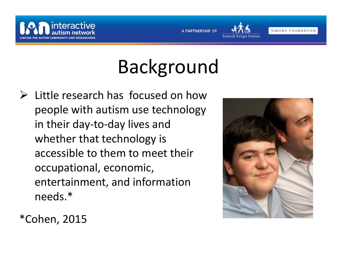





# Background

 $\triangleright$  Little research has focused on how people with autism use technology in their day‐to‐day lives and whether that technology is accessible to them to meet their occupational, economic, entertainment, and information needs.\*



\*Cohen, 2015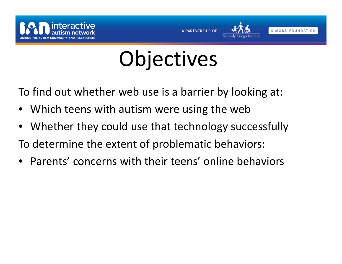







# **Objectives**

To find out whether web use is <sup>a</sup> barrier by looking at:

- •Which teens with autism were using the web
- $\bullet$ Whether they could use that technology successfully

To determine the extent of problematic behaviors:

 $\bullet$ Parents' concerns with their teens' online behaviors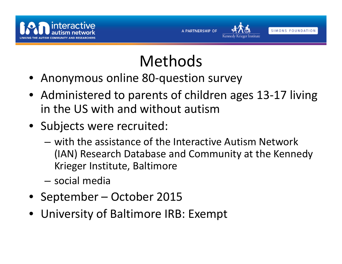



# Methods

- Anonymous online 80‐question survey
- Administered to parents of children ages 13‐17 living in the US with and without autism
- Subjects were recruited:
	- with the assistance of the Interactive Autism Network (IAN) Research Database and Community at the Kennedy Krieger Institute, Baltimore
	- social media
- September October 2015
- University of Baltimore IRB: Exempt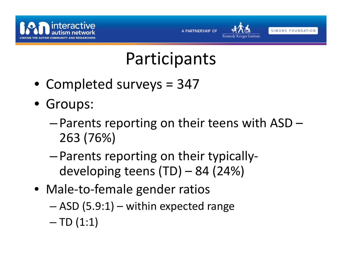



# Participants

- Completed surveys <sup>=</sup> 347
- Groups:
	- – $-$  Parents reporting on their teens with ASD  $-$ 263 (76%)
	- – Parents reporting on their typically‐ developing teens (TD) – 84 (24%)
- Male‐to‐female gender ratios
	- ASD (5.9:1) within expected range
	- TD (1:1)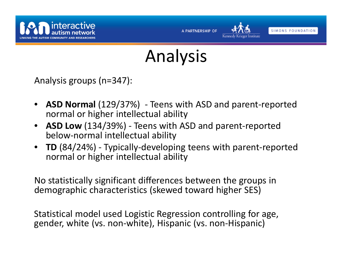



SIMONS FOUNDATION

Analysis

Analysis groups (n=347):

- • **ASD Normal** (129/37%) ‐ Teens with ASD and parent‐reported normal or higher intellectual ability
- $\bullet$  **ASD Low** (134/39%) ‐ Teens with ASD and parent‐reported below‐normal intellectual ability
- • **TD** (84/24%) ‐ Typically‐developing teens with parent‐reported normal or higher intellectual ability

No statistically significant differences between the groups in demographic characteristics (skewed toward higher SES)

Statistical model used Logistic Regression controlling for age, gender, white (vs. non‐white), Hispanic (vs. non‐Hispanic)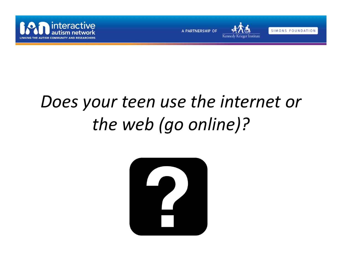



SIMONS FOUNDATION

# *Does your teen use the internet or the web (go online)?*

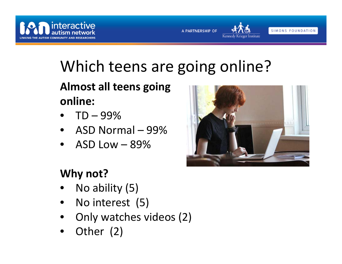



# Which teens are going online?

**Almost all teens going online:**

- • $\bullet$  TD  $-$  99%
- ASD Normal 99%
- • $\bullet$   $\;$  ASD Low  $-$  89%



Kennedy Krieger Institute

#### **Why not?**

- •• No ability (5)
- •• No interest (5)
- •Only watches videos (2)
- $\bullet$ Other (2)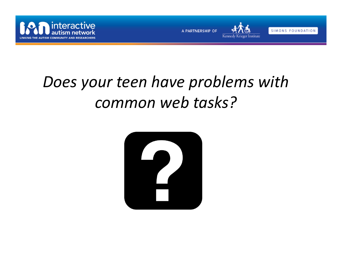





### *Does your teen have problems with common web tasks?*

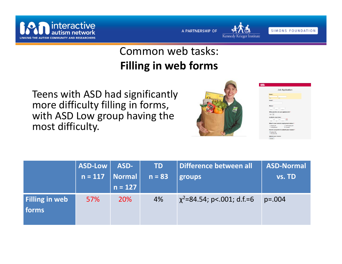



#### Common web tasks: **Filling in web forms**

Teens with ASD had significantly more difficulty filling in forms, with ASD Low group having the most difficulty.



| <b>Job Application</b>                                                                                        |  |
|---------------------------------------------------------------------------------------------------------------|--|
| Name *<br>First<br>Last                                                                                       |  |
| <b>Fmail</b> +                                                                                                |  |
| Phone -<br>٠<br>٠<br>$-$<br>$\overline{1}$<br>1111                                                            |  |
| What position are you applying for? *<br>$Job 1 -$<br>Available start date -                                  |  |
| 面<br>Virvin<br><b>MM</b><br>nn                                                                                |  |
| What is your current employment status? •<br><b>Employed</b><br>Self-Employed<br><b>Unemployed</b><br>Student |  |
| How do you prefer to submit your resume? *<br><sup>®</sup> Upload file<br>Provide URL                         |  |
| <b>Upload your resume</b>                                                                                     |  |

|                                | ASD-Low   | ASD-      | <b>TD</b> | Difference between all          | <b>ASD-Normal</b> |
|--------------------------------|-----------|-----------|-----------|---------------------------------|-------------------|
|                                | $n = 117$ | Normal    | $n = 83$  | groups                          | vs. TD            |
|                                |           | $n = 127$ |           |                                 |                   |
| <b>Filling in web</b><br>forms | 57%       | 20%       | 4%        | $\chi^2$ =84.54; p<.001; d.f.=6 | $p=.004$          |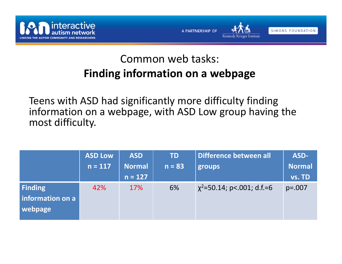





#### Common web tasks: **Finding information on <sup>a</sup> webpage**

Teens with ASD had significantly more difficulty finding information on <sup>a</sup> webpage, with ASD Low group having the most difficulty.

|                  | <b>ASD Low</b> | <b>ASD</b> | <b>TD</b> | Difference between all          | ASD-          |
|------------------|----------------|------------|-----------|---------------------------------|---------------|
|                  | $n = 117$      | Normal     | $n = 83$  | groups                          | <b>Normal</b> |
|                  |                | $n = 127$  |           |                                 | vs. TD        |
| Finding          | 42%            | 17%        | 6%        | $\chi^2$ =50.14; p<.001; d.f.=6 | $p=.007$      |
| information on a |                |            |           |                                 |               |
| webpage          |                |            |           |                                 |               |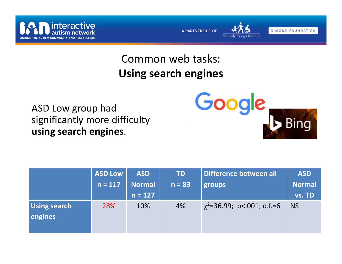



#### Common web tasks: **Using search engines**

ASD Low group had significantly more difficulty **using search engines**.



|                                | <b>ASD Low</b> | <b>ASD</b> | <b>TD</b> | Difference between all          | <b>ASD</b>    |
|--------------------------------|----------------|------------|-----------|---------------------------------|---------------|
|                                | $n = 117$      | Normal     | $n = 83$  | groups                          | <b>Normal</b> |
|                                |                | $n = 127$  |           |                                 | vs. TD        |
| <b>Using search</b><br>engines | 28%            | 10%        | 4%        | $\chi^2$ =36.99; p<.001; d.f.=6 | <b>NS</b>     |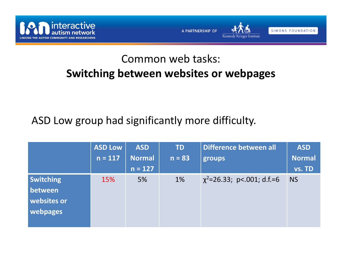



Kennedy Krieger Institute



#### Common web tasks: **Switching between websites or webpages**

#### ASD Low group had significantly more difficulty.

|                                                        | <b>ASD Low</b><br>$n = 117$ | <b>ASD</b><br><b>Normal</b> | <b>TD</b><br>$n = 83$ | Difference between all<br>groups | <b>ASD</b><br><b>Normal</b> |
|--------------------------------------------------------|-----------------------------|-----------------------------|-----------------------|----------------------------------|-----------------------------|
|                                                        |                             | $n = 127$                   |                       |                                  | vs. TD                      |
| <b>Switching</b><br>between<br>websites or<br>webpages | 15%                         | 5%                          | 1%                    | $\chi^2$ =26.33; p<.001; d.f.=6  | <b>NS</b>                   |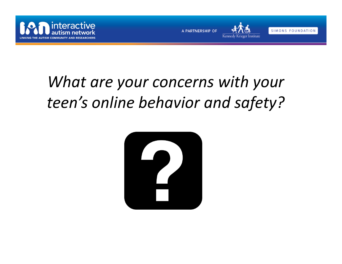





## *What are your concerns with your teen's online behavior and safety?*

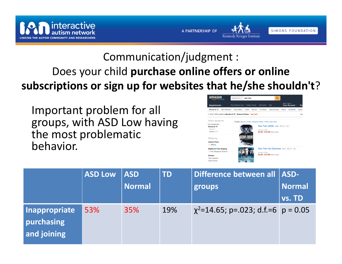

Communication/judgment : Does your child **purchase online offers or online subscriptions or sign up for websites that he/she shouldn't** ?

A PARTNERSHIP OF

Important problem for all groups, with ASD Low having the most problematic behavior.



Kennedy Krieger Institute

SIMONS FOUNDATION

|                                            | <b>ASD Low</b> | <b>ASD</b><br><b>Normal</b> | <b>TD</b> | Difference between all   ASD-<br>groups    | <b>Normal</b><br>vs. TD |
|--------------------------------------------|----------------|-----------------------------|-----------|--------------------------------------------|-------------------------|
| Inappropriate<br>purchasing<br>and joining | 53%            | 35%                         | 19%       | $\chi^2$ =14.65; p=.023; d.f.=6   p = 0.05 |                         |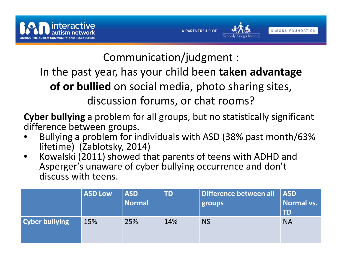





Communication/judgment :

In the past year, has your child been **taken advantage**

**of or bullied** on social media, photo sharing sites,

discussion forums, or chat rooms?

**Cyber bullying** a problem for all groups, but no statistically significant difference between groups.

- • Bullying a problem for individuals with ASD (38% past month/63% lifetime) (Zablotsky, 2014)
- • Kowalski (2011) showed that parents of teens with ADHD and Asperger's unaware of cyber bullying occurrence and don't discuss with teens.

|                       | <b>ASD Low</b> | <b>ASD</b><br>  Normal | <b>TD</b> | Difference between all   ASD<br>groups | Normal vs.<br><b>TD</b> |
|-----------------------|----------------|------------------------|-----------|----------------------------------------|-------------------------|
| <b>Cyber bullying</b> | 15%            | 25%                    | 14%       | <b>NS</b>                              | <b>NA</b>               |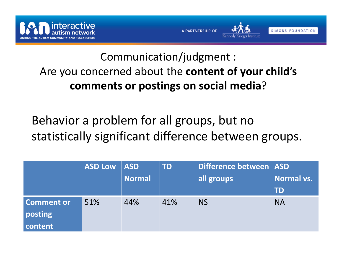

#### Communication/judgment : Are you concerned about the **content of your child's comments or postings on social media** ?

Behavior a problem for all groups, but no statistically significant difference between groups.

|                   | ASD Low   ASD |               | <b>TD</b> | Difference between   ASD |            |
|-------------------|---------------|---------------|-----------|--------------------------|------------|
|                   |               | <b>Normal</b> |           | all groups               | Normal vs. |
|                   |               |               |           |                          | <b>TD</b>  |
| <b>Comment or</b> | 51%           | 44%           | 41%       | <b>NS</b>                | <b>NA</b>  |
| posting           |               |               |           |                          |            |
| <b>content</b>    |               |               |           |                          |            |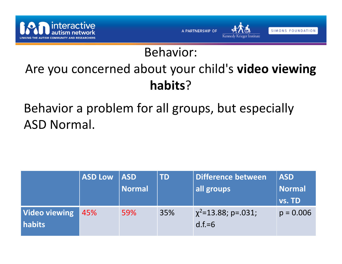

### Behavior:

### Are you concerned about your child's **video viewing habits**?

Behavior a problem for all groups, but especially ASD Normal.

|                                | ASD Low | <b>ASD</b><br><b>Normal</b> | <b>TD</b> | Difference between<br>all groups     | <b>ASD</b><br><b>Normal</b><br><b>vs. TD</b> |
|--------------------------------|---------|-----------------------------|-----------|--------------------------------------|----------------------------------------------|
| <b>Video viewing</b><br>habits | 45%     | 59%                         | 35%       | $\chi^2$ =13.88; p=.031;<br>$d.f.=6$ | $p = 0.006$                                  |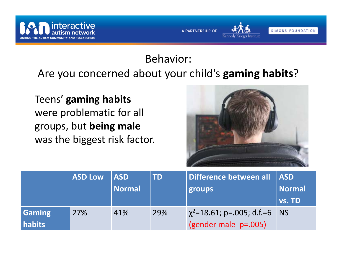

#### Behavior:Are you concerned about your child's **gaming habits**?

A PARTNERSHIP OF

Teens' **gaming habits** were problematic for all groups, but **being male** was the biggest risk factor.



Kennedy Krieger Institute

SIMONS FOUNDATION

|                         | <b>ASD Low</b> | <b>ASD</b><br><b>Normal</b> | <b>TD</b> | Difference between all   ASD<br>groups                  | <b>Normal</b><br>vs. TD |
|-------------------------|----------------|-----------------------------|-----------|---------------------------------------------------------|-------------------------|
| <b>Gaming</b><br>habits | 27%            | 41%                         | 29%       | $\chi^2$ =18.61; p=.005; d.f.=6<br>(gender male p=.005) | <b>NS</b>               |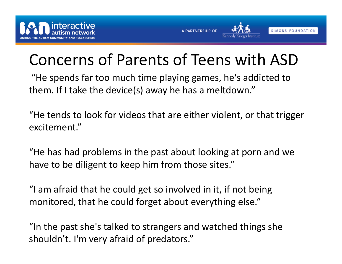



### Concerns of Parents of Teens with ASD

"He spends far too much time playing games, he's addicted to them. If I take the device(s) away he has <sup>a</sup> meltdown."

"He tends to look for videos that are either violent, or that trigger excitement."

"He has had problems in the past about looking at porn and we have to be diligent to keep him from those sites."

"I am afraid that he could get so involved in it, if not being monitored, that he could forget about everything else."

"In the past she's talked to strangers and watched things she shouldn't. I'm very afraid of predators."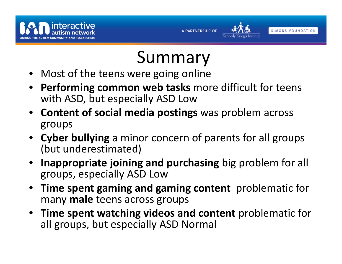



# Summary

- Most of the teens were going online
- • **Performing common web tasks** more difficult for teens with ASD, but especially ASD Low
- **Content of social media postings** was problem across groups
- **Cyber bullying** <sup>a</sup> minor concern of parents for all groups (but underestimated)
- $\bullet$  **Inappropriate joining and purchasing** big problem for all groups, especially ASD Low
- • **Time spent gaming and gaming content** problematic for many **male** teens across groups
- **Time spent watching videos and content** problematic for all groups, but especially ASD Normal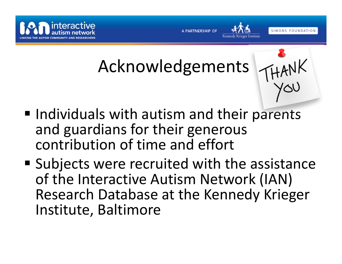



# Acknowledgements

- 
- **Individuals with autism and their parents** and guardians for their generous contribution of time and effort
- **Subjects were recruited with the assistance** of the Interactive Autism Network (IAN) Research Database at the Kennedy Krieger Institute, Baltimore